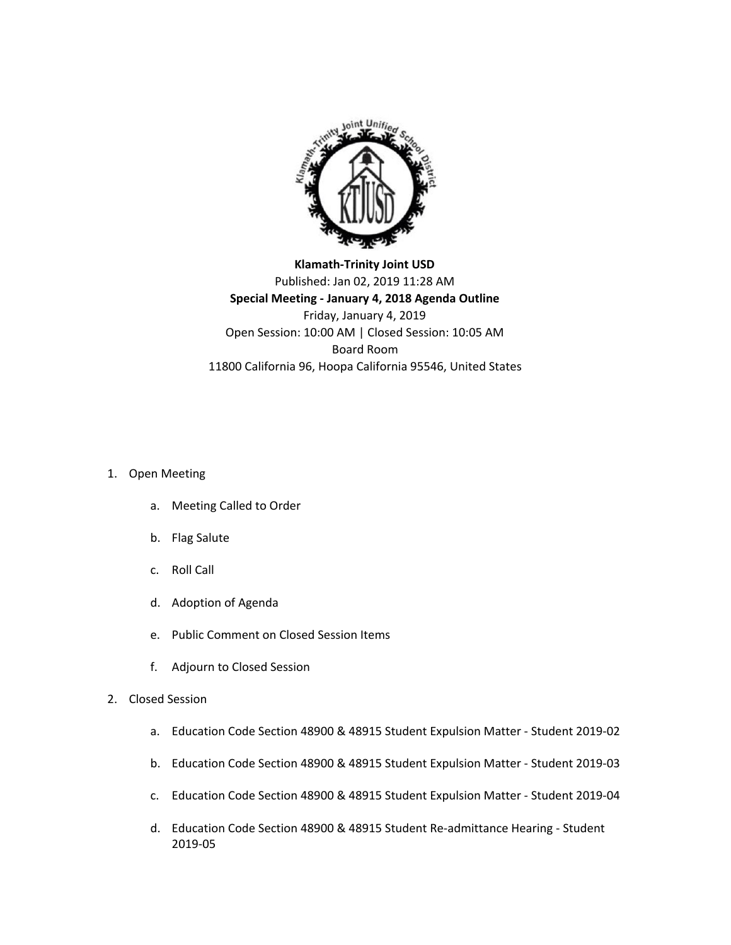

**Klamath-Trinity Joint USD** Published: Jan 02, 2019 11:28 AM **Special Meeting - January 4, 2018 Agenda Outline** Friday, January 4, 2019 Open Session: 10:00 AM | Closed Session: 10:05 AM Board Room 11800 California 96, Hoopa California 95546, United States

## 1. Open Meeting

- a. Meeting Called to Order
- b. Flag Salute
- c. Roll Call
- d. Adoption of Agenda
- e. Public Comment on Closed Session Items
- f. Adjourn to Closed Session
- 2. Closed Session
	- a. Education Code Section 48900 & 48915 Student Expulsion Matter Student 2019-02
	- b. Education Code Section 48900 & 48915 Student Expulsion Matter Student 2019-03
	- c. Education Code Section 48900 & 48915 Student Expulsion Matter Student 2019-04
	- d. Education Code Section 48900 & 48915 Student Re-admittance Hearing Student 2019-05